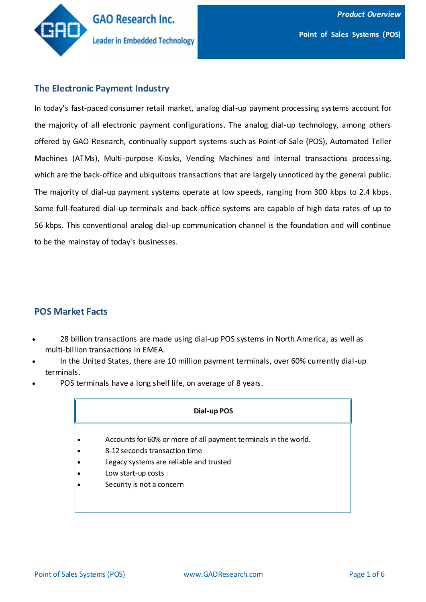

# **The Electronic Payment Industry**

In today's fast-paced consumer retail market, analog dial-up payment processing systems account for the majority of all electronic payment configurations. The analog dial-up technology, among others offered by GAO Research, continually support systems such as Point-of-Sale (POS), Automated Teller Machines (ATMs), Multi-purpose Kiosks, Vending Machines and internal transactions processing, which are the back-office and ubiquitous transactions that are largely unnoticed by the general public. The majority of dial-up payment systems operate at low speeds, ranging from 300 kbps to 2.4 kbps. Some full-featured dial-up terminals and back-office systems are capable of high data rates of up to 56 kbps. This conventional analog dial-up communication channel is the foundation and will continue to be the mainstay of today's businesses.

## **POS Market Facts**

- 28 billion transactions are made using dial-up POS systems in North America, as well as multi-billion transactions in EMEA.
- In the United States, there are 10 million payment terminals, over 60% currently dial-up terminals.
- POS terminals have a long shelf life, on average of 8 years.

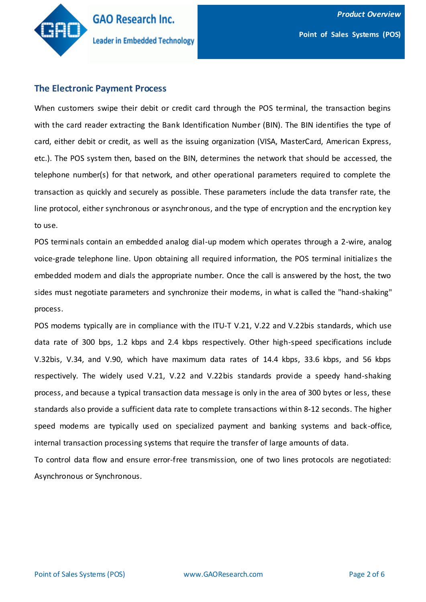

#### **The Electronic Payment Process**

When customers swipe their debit or credit card through the POS terminal, the transaction begins with the card reader extracting the Bank Identification Number (BIN). The BIN identifies the type of card, either debit or credit, as well as the issuing organization (VISA, MasterCard, American Express, etc.). The POS system then, based on the BIN, determines the network that should be accessed, the telephone number(s) for that network, and other operational parameters required to complete the transaction as quickly and securely as possible. These parameters include the data transfer rate, the line protocol, either synchronous or asynchronous, and the type of encryption and the encryption key to use.

POS terminals contain an embedded analog dial-up modem which operates through a 2-wire, analog voice-grade telephone line. Upon obtaining all required information, the POS terminal initializes the embedded modem and dials the appropriate number. Once the call is answered by the host, the two sides must negotiate parameters and synchronize their modems, in what is called the "hand-shaking" process.

POS modems typically are in compliance with the ITU-T V.21, V.22 and V.22bis standards, which use data rate of 300 bps, 1.2 kbps and 2.4 kbps respectively. Other high-speed specifications include V.32bis, V.34, and V.90, which have maximum data rates of 14.4 kbps, 33.6 kbps, and 56 kbps respectively. The widely used V.21, V.22 and V.22bis standards provide a speedy hand-shaking process, and because a typical transaction data message is only in the area of 300 bytes or less, these standards also provide a sufficient data rate to complete transactions within 8-12 seconds. The higher speed modems are typically used on specialized payment and banking systems and back-office, internal transaction processing systems that require the transfer of large amounts of data.

To control data flow and ensure error-free transmission, one of two lines protocols are negotiated: Asynchronous or Synchronous.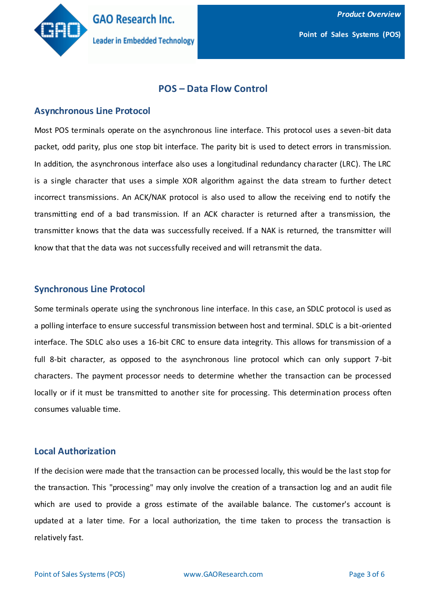

# **POS – Data Flow Control**

#### **Asynchronous Line Protocol**

Most POS terminals operate on the asynchronous line interface. This protocol uses a seven-bit data packet, odd parity, plus one stop bit interface. The parity bit is used to detect errors in transmission. In addition, the asynchronous interface also uses a longitudinal redundancy character (LRC). The LRC is a single character that uses a simple XOR algorithm against the data stream to further detect incorrect transmissions. An ACK/NAK protocol is also used to allow the receiving end to notify the transmitting end of a bad transmission. If an ACK character is returned after a transmission, the transmitter knows that the data was successfully received. If a NAK is returned, the transmitter will know that that the data was not successfully received and will retransmit the data.

#### **Synchronous Line Protocol**

Some terminals operate using the synchronous line interface. In this case, an SDLC protocol is used as a polling interface to ensure successful transmission between host and terminal. SDLC is a bit-oriented interface. The SDLC also uses a 16-bit CRC to ensure data integrity. This allows for transmission of a full 8-bit character, as opposed to the asynchronous line protocol which can only support 7-bit characters. The payment processor needs to determine whether the transaction can be processed locally or if it must be transmitted to another site for processing. This determination process often consumes valuable time.

## **Local Authorization**

If the decision were made that the transaction can be processed locally, this would be the last stop for the transaction. This "processing" may only involve the creation of a transaction log and an audit file which are used to provide a gross estimate of the available balance. The customer's account is updated at a later time. For a local authorization, the time taken to process the transaction is relatively fast.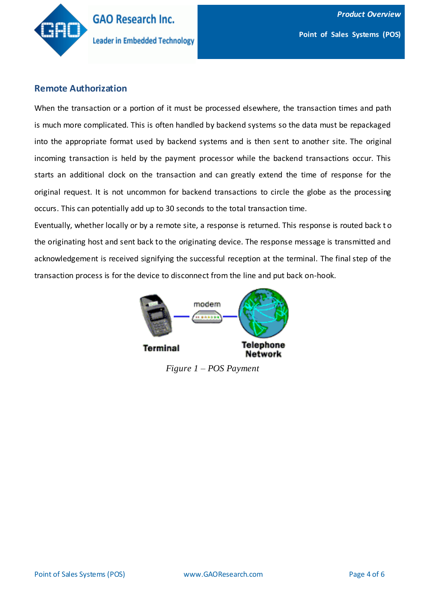

## **Remote Authorization**

When the transaction or a portion of it must be processed elsewhere, the transaction times and path is much more complicated. This is often handled by backend systems so the data must be repackaged into the appropriate format used by backend systems and is then sent to another site. The original incoming transaction is held by the payment processor while the backend transactions occur. This starts an additional clock on the transaction and can greatly extend the time of response for the original request. It is not uncommon for backend transactions to circle the globe as the processing occurs. This can potentially add up to 30 seconds to the total transaction time.

Eventually, whether locally or by a remote site, a response is returned. This response is routed back t o the originating host and sent back to the originating device. The response message is transmitted and acknowledgement is received signifying the successful reception at the terminal. The final step of the transaction process is for the device to disconnect from the line and put back on-hook.



*Figure 1 – POS Payment*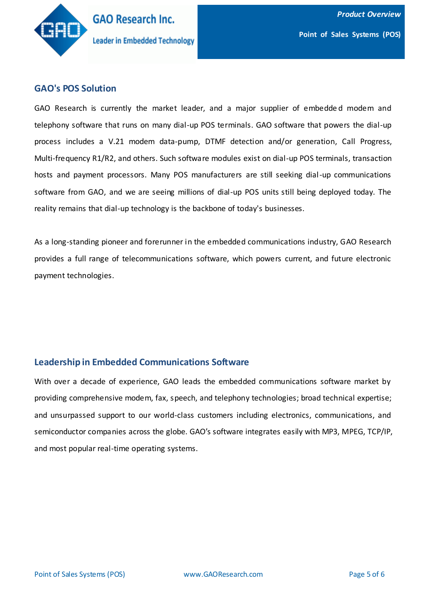

#### **GAO's POS Solution**

GAO Research is currently the market leader, and a major supplier of embedded modem and telephony software that runs on many dial-up POS terminals. GAO software that powers the dial-up process includes a [V.21 modem data-pump,](http://www.gaoresearch.com/products/modemsoftware/other/v21.php) [DTMF detection and/or generation,](http://www.gaoresearch.com/products/telephony/other/dtmf.php) [Call Progress,](http://www.gaoresearch.com/products/telephony/other/cp.php) [Multi-frequency R1/R2,](http://www.gaoresearch.com/products/telephonyt/other/mf_r1r2.php) and others. Such software modules exist on dial-up POS terminals, transaction hosts and payment processors. Many POS manufacturers are still seeking dial-up communications software from GAO, and we are seeing millions of dial-up POS units still being deployed today. The reality remains that dial-up technology is the backbone of today's businesses.

As a long-standing pioneer and forerunner in the embedded communications industry, GAO Research provides a full range of telecommunications software, which powers current, and future electronic payment technologies.

## **Leadership in Embedded Communications Software**

With over a decade of experience, GAO leads the embedded communications software market by providing comprehensive modem, fax, speech, and telephony technologies; broad technical expertise; and unsurpassed support to our world-class customers including electronics, communications, and semiconductor companies across the globe. GAO's software integrates easily with MP3, MPEG, TCP/IP, and most popular real-time operating systems.